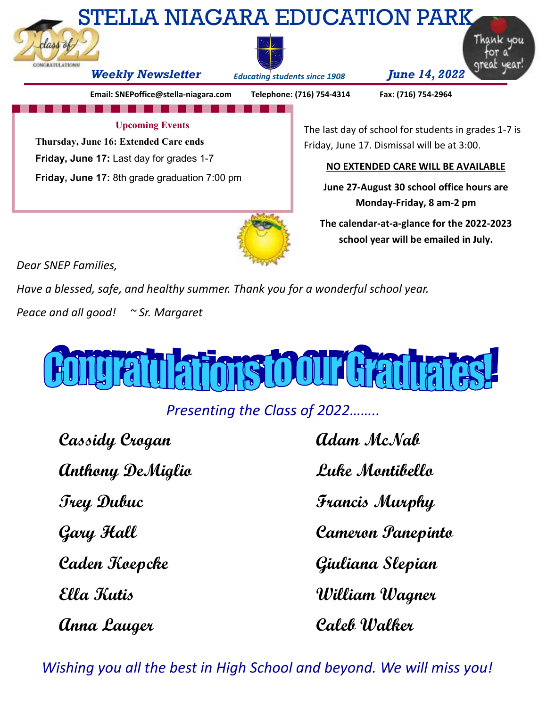

*Dear SNEP Families,* 

*Have a blessed, safe, and healthy summer. Thank you for a wonderful school year.* 

*Peace and all good! ~ Sr. Margaret* 



*Presenting the Class of 2022……..* 

**Cassidy Crogan Cassidy Crogan Adam McNab Anthony DeMiglio Luke Montibello Trey Dubuc Francis Murphy Caden Koepcke Giuliana Slepian Ella Kutis William Wagner** 

**Gary Hall Cameron Panepinto Anna Lauger Caleb Walker** 

**school year will be emailed in July.** 

*Wishing you all the best in High School and beyond. We will miss you!*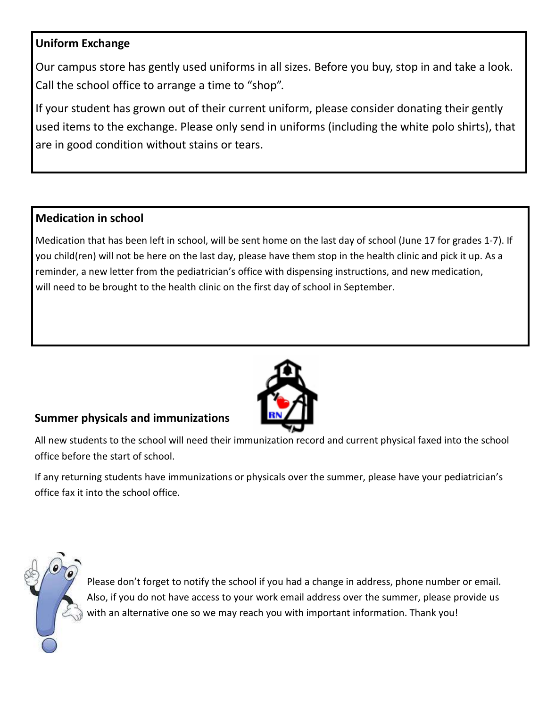#### **Uniform Exchange**

Our campus store has gently used uniforms in all sizes. Before you buy, stop in and take a look. Call the school office to arrange a time to "shop".

If your student has grown out of their current uniform, please consider donating their gently used items to the exchange. Please only send in uniforms (including the white polo shirts), that are in good condition without stains or tears.

#### **Medication in school**

Medication that has been left in school, will be sent home on the last day of school (June 17 for grades 1-7). If you child(ren) will not be here on the last day, please have them stop in the health clinic and pick it up. As a reminder, a new letter from the pediatrician's office with dispensing instructions, and new medication, will need to be brought to the health clinic on the first day of school in September.



#### **Summer physicals and immunizations**

All new students to the school will need their immunization record and current physical faxed into the school office before the start of school.

If any returning students have immunizations or physicals over the summer, please have your pediatrician's office fax it into the school office.

Please don't forget to notify the school if you had a change in address, phone number or email. Also, if you do not have access to your work email address over the summer, please provide us with an alternative one so we may reach you with important information. Thank you!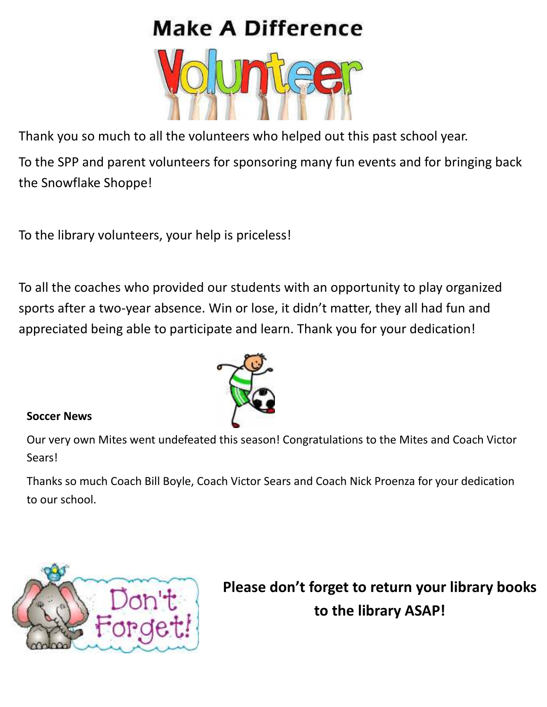# **Make A Difference**



Thank you so much to all the volunteers who helped out this past school year.

To the SPP and parent volunteers for sponsoring many fun events and for bringing back the Snowflake Shoppe!

To the library volunteers, your help is priceless!

To all the coaches who provided our students with an opportunity to play organized sports after a two-year absence. Win or lose, it didn't matter, they all had fun and appreciated being able to participate and learn. Thank you for your dedication!



#### **Soccer News**

Our very own Mites went undefeated this season! Congratulations to the Mites and Coach Victor Sears!

Thanks so much Coach Bill Boyle, Coach Victor Sears and Coach Nick Proenza for your dedication to our school.



**Please don't forget to return your library books to the library ASAP!**